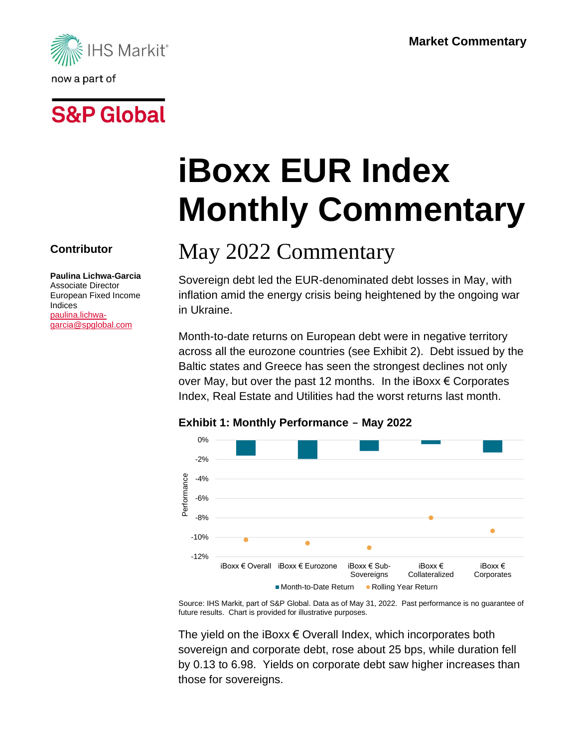

# **S&P Global**

**Contributor**

Indices [paulina.lichwa](mailto:paulina.lichwa-garcia@spglobal.com)[garcia@spglobal.com](mailto:paulina.lichwa-garcia@spglobal.com)

**Paulina Lichwa-Garcia** Associate Director European Fixed Income

# **iBoxx EUR Index Monthly Commentary**

## May 2022 Commentary

Sovereign debt led the EUR-denominated debt losses in May, with inflation amid the energy crisis being heightened by the ongoing war in Ukraine.

Month-to-date returns on European debt were in negative territory across all the eurozone countries (see Exhibit 2). Debt issued by the Baltic states and Greece has seen the strongest declines not only over May, but over the past 12 months. In the iBoxx  $\epsilon$  Corporates Index, Real Estate and Utilities had the worst returns last month.



### **Exhibit 1: Monthly Performance - May 2022**

Source: IHS Markit, part of S&P Global. Data as of May 31, 2022. Past performance is no guarantee of future results. Chart is provided for illustrative purposes.

The yield on the iBoxx  $\epsilon$  Overall Index, which incorporates both sovereign and corporate debt, rose about 25 bps, while duration fell by 0.13 to 6.98. Yields on corporate debt saw higher increases than those for sovereigns.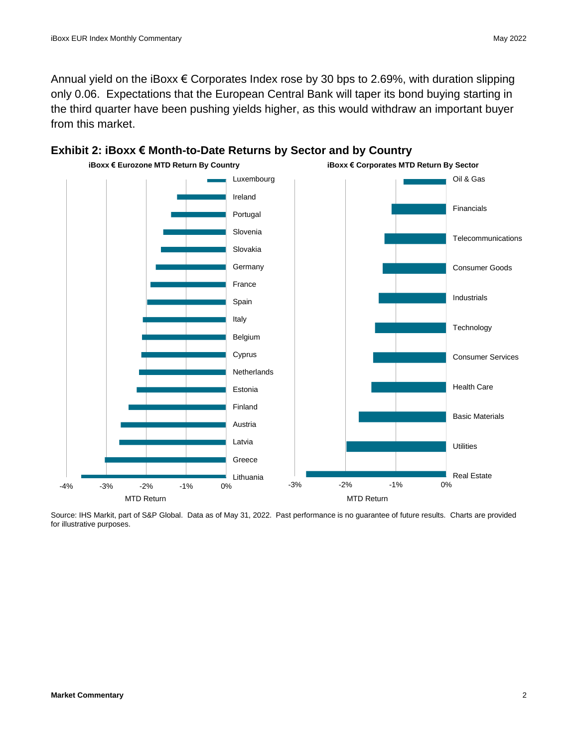Annual yield on the iBoxx  $\epsilon$  Corporates Index rose by 30 bps to 2.69%, with duration slipping only 0.06. Expectations that the European Central Bank will taper its bond buying starting in the third quarter have been pushing yields higher, as this would withdraw an important buyer from this market.





Source: IHS Markit, part of S&P Global. Data as of May 31, 2022. Past performance is no guarantee of future results. Charts are provided for illustrative purposes.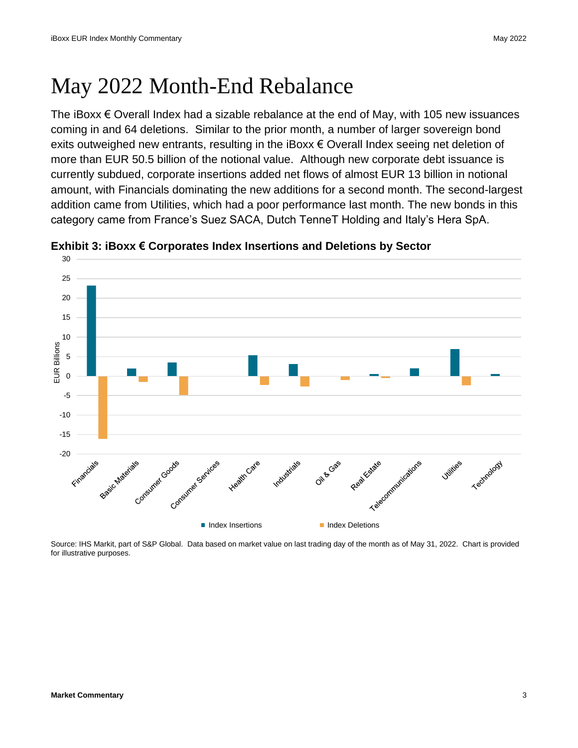### May 2022 Month-End Rebalance

The iBoxx  $€$  Overall Index had a sizable rebalance at the end of May, with 105 new issuances coming in and 64 deletions. Similar to the prior month, a number of larger sovereign bond exits outweighed new entrants, resulting in the iBoxx  $\epsilon$  Overall Index seeing net deletion of more than EUR 50.5 billion of the notional value. Although new corporate debt issuance is currently subdued, corporate insertions added net flows of almost EUR 13 billion in notional amount, with Financials dominating the new additions for a second month. The second-largest addition came from Utilities, which had a poor performance last month. The new bonds in this category came from France's Suez SACA, Dutch TenneT Holding and Italy's Hera SpA.



**Exhibit 3: iBoxx € Corporates Index Insertions and Deletions by Sector**

Source: IHS Markit, part of S&P Global. Data based on market value on last trading day of the month as of May 31, 2022. Chart is provided for illustrative purposes.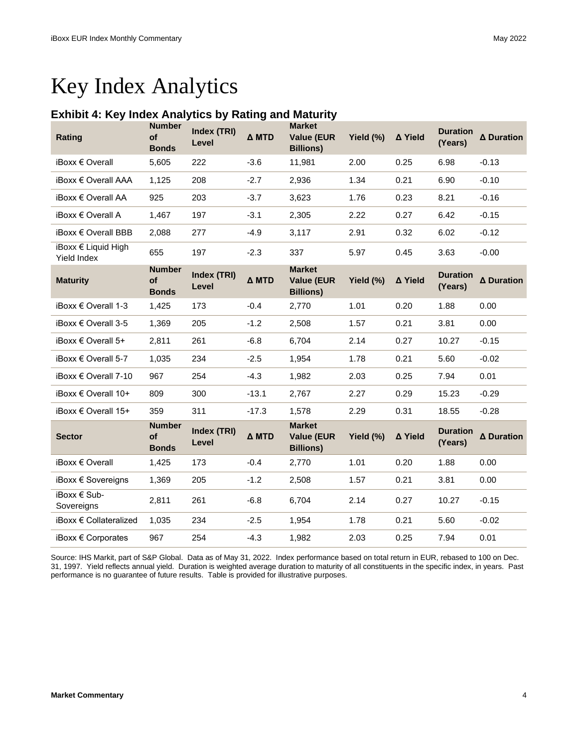### Key Index Analytics

#### **Exhibit 4: Key Index Analytics by Rating and Maturity**

| <b>Rating</b>                      | <b>Number</b><br>of<br><b>Bonds</b> | Index (TRI)<br>Level | Δ MTD   | <b>Market</b><br><b>Value (EUR</b><br><b>Billions)</b> | Yield (%) | ∆ Yield | <b>Duration</b><br>(Years) | ∆ Duration |
|------------------------------------|-------------------------------------|----------------------|---------|--------------------------------------------------------|-----------|---------|----------------------------|------------|
| iBoxx € Overall                    | 5,605                               | 222                  | $-3.6$  | 11,981                                                 | 2.00      | 0.25    | 6.98                       | $-0.13$    |
| iBoxx € Overall AAA                | 1,125                               | 208                  | $-2.7$  | 2,936                                                  | 1.34      | 0.21    | 6.90                       | $-0.10$    |
| iBoxx € Overall AA                 | 925                                 | 203                  | $-3.7$  | 3,623                                                  | 1.76      | 0.23    | 8.21                       | $-0.16$    |
| iBoxx € Overall A                  | 1,467                               | 197                  | $-3.1$  | 2,305                                                  | 2.22      | 0.27    | 6.42                       | $-0.15$    |
| $i$ Boxx $\in$ Overall BBB         | 2,088                               | 277                  | $-4.9$  | 3,117                                                  | 2.91      | 0.32    | 6.02                       | $-0.12$    |
| iBoxx € Liquid High<br>Yield Index | 655                                 | 197                  | $-2.3$  | 337                                                    | 5.97      | 0.45    | 3.63                       | $-0.00$    |
| <b>Maturity</b>                    | <b>Number</b><br>of<br><b>Bonds</b> | Index (TRI)<br>Level | Δ MTD   | <b>Market</b><br><b>Value (EUR</b><br><b>Billions)</b> | Yield (%) | ∆ Yield | <b>Duration</b><br>(Years) | ∆ Duration |
| iBoxx € Overall 1-3                | 1,425                               | 173                  | $-0.4$  | 2,770                                                  | 1.01      | 0.20    | 1.88                       | 0.00       |
| iBoxx € Overall 3-5                | 1,369                               | 205                  | $-1.2$  | 2,508                                                  | 1.57      | 0.21    | 3.81                       | 0.00       |
| iBoxx $\epsilon$ Overall 5+        | 2,811                               | 261                  | $-6.8$  | 6,704                                                  | 2.14      | 0.27    | 10.27                      | $-0.15$    |
| iBoxx € Overall 5-7                | 1,035                               | 234                  | $-2.5$  | 1,954                                                  | 1.78      | 0.21    | 5.60                       | $-0.02$    |
| iBoxx € Overall 7-10               | 967                                 | 254                  | $-4.3$  | 1,982                                                  | 2.03      | 0.25    | 7.94                       | 0.01       |
| iBoxx € Overall 10+                | 809                                 | 300                  | $-13.1$ | 2,767                                                  | 2.27      | 0.29    | 15.23                      | $-0.29$    |
| iBoxx € Overall 15+                | 359                                 | 311                  | $-17.3$ | 1,578                                                  | 2.29      | 0.31    | 18.55                      | $-0.28$    |
| <b>Sector</b>                      | <b>Number</b><br>of<br><b>Bonds</b> | Index (TRI)<br>Level | Δ MTD   | <b>Market</b><br><b>Value (EUR</b><br><b>Billions)</b> | Yield (%) | ∆ Yield | <b>Duration</b><br>(Years) | ∆ Duration |
| $iBoxx \in Overall$                | 1,425                               | 173                  | $-0.4$  | 2,770                                                  | 1.01      | 0.20    | 1.88                       | 0.00       |
| iBoxx € Sovereigns                 | 1,369                               | 205                  | $-1.2$  | 2,508                                                  | 1.57      | 0.21    | 3.81                       | 0.00       |
| iBoxx € Sub-<br>Sovereigns         | 2,811                               | 261                  | $-6.8$  | 6,704                                                  | 2.14      | 0.27    | 10.27                      | $-0.15$    |
| iBoxx € Collateralized             | 1,035                               | 234                  | $-2.5$  | 1,954                                                  | 1.78      | 0.21    | 5.60                       | $-0.02$    |
| iBoxx € Corporates                 | 967                                 | 254                  | $-4.3$  | 1,982                                                  | 2.03      | 0.25    | 7.94                       | 0.01       |

Source: IHS Markit, part of S&P Global. Data as of May 31, 2022. Index performance based on total return in EUR, rebased to 100 on Dec. 31, 1997. Yield reflects annual yield. Duration is weighted average duration to maturity of all constituents in the specific index, in years. Past performance is no guarantee of future results. Table is provided for illustrative purposes.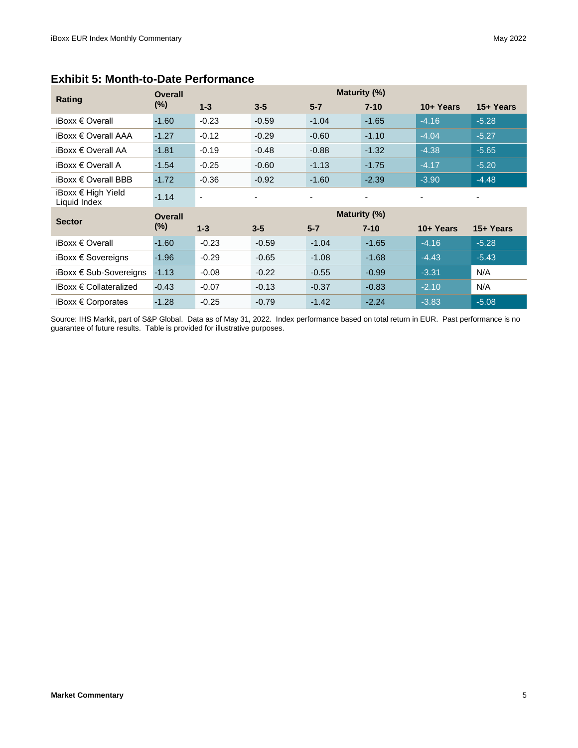| Rating                             | Maturity (%)<br><b>Overall</b> |                          |         |         |          |           |           |  |  |  |
|------------------------------------|--------------------------------|--------------------------|---------|---------|----------|-----------|-----------|--|--|--|
|                                    | $(\%)$                         | $1 - 3$                  | $3 - 5$ | $5 - 7$ | $7 - 10$ | 10+ Years | 15+ Years |  |  |  |
| $iBoxx \in Overall$                | $-1.60$                        | $-0.23$                  | $-0.59$ | $-1.04$ | $-1.65$  | $-4.16$   | $-5.28$   |  |  |  |
| iBoxx € Overall AAA                | $-1.27$                        | $-0.12$                  | $-0.29$ | $-0.60$ | $-1.10$  | $-4.04$   | $-5.27$   |  |  |  |
| iBoxx € Overall AA                 | $-1.81$                        | $-0.19$                  | $-0.48$ | $-0.88$ | $-1.32$  | $-4.38$   | $-5.65$   |  |  |  |
| iBoxx $\in$ Overall A              | $-1.54$                        | $-0.25$                  | $-0.60$ | $-1.13$ | $-1.75$  | $-4.17$   | $-5.20$   |  |  |  |
| iBoxx € Overall BBB                | $-1.72$                        | $-0.36$                  | $-0.92$ | $-1.60$ | $-2.39$  | $-3.90$   | $-4.48$   |  |  |  |
| iBoxx € High Yield<br>Liquid Index | $-1.14$                        | $\overline{\phantom{a}}$ |         | ٠       | ٠        |           |           |  |  |  |
| <b>Sector</b>                      | Maturity (%)<br><b>Overall</b> |                          |         |         |          |           |           |  |  |  |
|                                    | $(\%)$                         | $1 - 3$                  | $3 - 5$ | $5 - 7$ | $7 - 10$ | 10+ Years | 15+ Years |  |  |  |
| iBoxx € Overall                    | $-1.60$                        | $-0.23$                  | $-0.59$ | $-1.04$ | $-1.65$  | $-4.16$   | $-5.28$   |  |  |  |
| iBoxx $\epsilon$ Sovereigns        | $-1.96$                        | $-0.29$                  | $-0.65$ | $-1.08$ | $-1.68$  | $-4.43$   | $-5.43$   |  |  |  |
| iBoxx € Sub-Sovereigns             | $-1.13$                        | $-0.08$                  | $-0.22$ | $-0.55$ | $-0.99$  | $-3.31$   | N/A       |  |  |  |
| $iBoxx \in Collateralized$         | $-0.43$                        | $-0.07$                  | $-0.13$ | $-0.37$ | $-0.83$  | $-2.10$   | N/A       |  |  |  |
| iBoxx $\epsilon$ Corporates        | $-1.28$                        | $-0.25$                  | $-0.79$ | $-1.42$ | $-2.24$  | $-3.83$   | $-5.08$   |  |  |  |

#### **Exhibit 5: Month-to-Date Performance**

Source: IHS Markit, part of S&P Global. Data as of May 31, 2022. Index performance based on total return in EUR. Past performance is no guarantee of future results. Table is provided for illustrative purposes.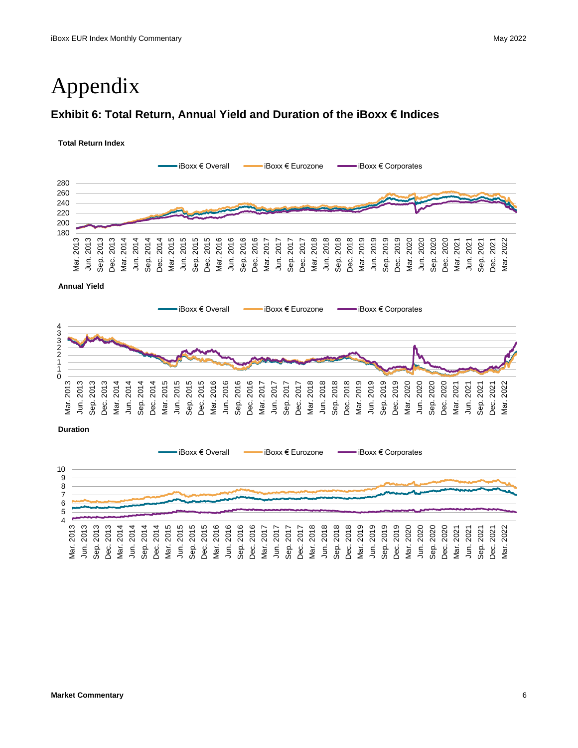### Appendix

#### **Exhibit 6: Total Return, Annual Yield and Duration of the iBoxx € Indices**

#### **Total Return Index**



**Annual Yield**



**Duration**

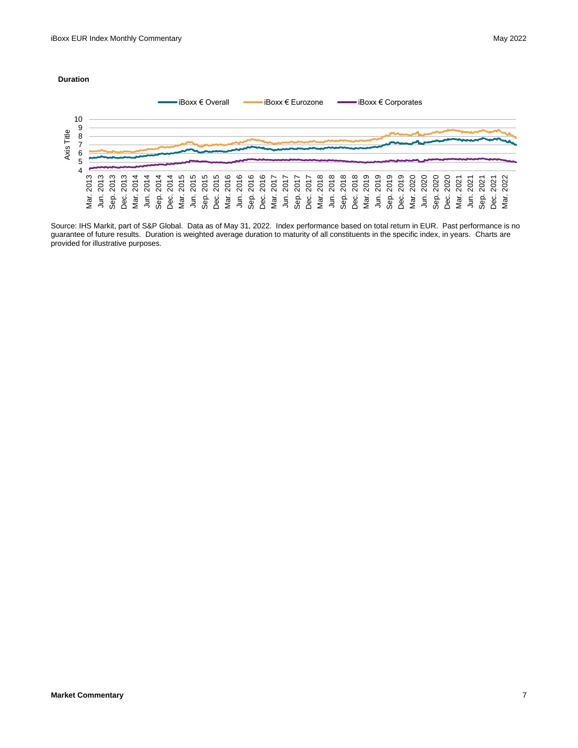#### **Duration**



Source: IHS Markit, part of S&P Global. Data as of May 31, 2022. Index performance based on total return in EUR. Past performance is no guarantee of future results. Duration is weighted average duration to maturity of all constituents in the specific index, in years. Charts are provided for illustrative purposes.